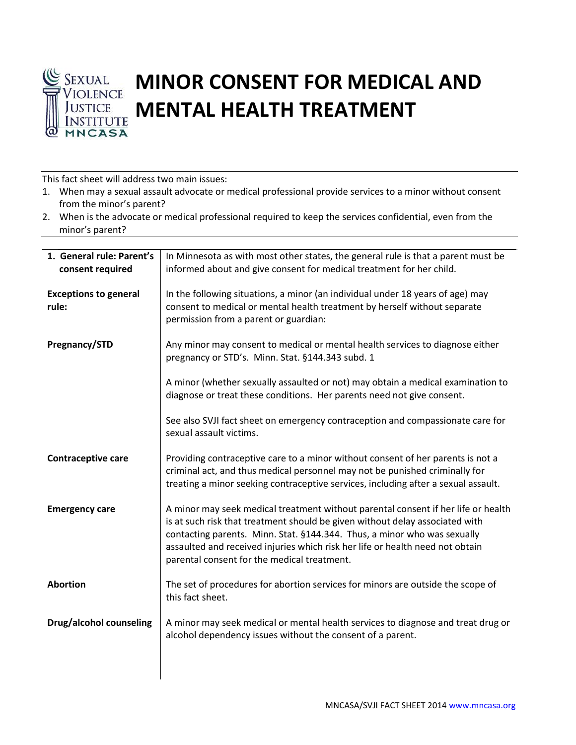

## **MINOR CONSENT FOR MEDICAL AND MENTAL HEALTH TREATMENT**

This fact sheet will address two main issues:

| 1. When may a sexual assault advocate or medical professional provide services to a minor without consent |
|-----------------------------------------------------------------------------------------------------------|
| from the minor's parent?                                                                                  |

2. When is the advocate or medical professional required to keep the services confidential, even from the minor's parent?

| 1. General rule: Parent's<br>consent required | In Minnesota as with most other states, the general rule is that a parent must be<br>informed about and give consent for medical treatment for her child.                                                                                                                                                                                                                     |
|-----------------------------------------------|-------------------------------------------------------------------------------------------------------------------------------------------------------------------------------------------------------------------------------------------------------------------------------------------------------------------------------------------------------------------------------|
| <b>Exceptions to general</b><br>rule:         | In the following situations, a minor (an individual under 18 years of age) may<br>consent to medical or mental health treatment by herself without separate<br>permission from a parent or guardian:                                                                                                                                                                          |
| Pregnancy/STD                                 | Any minor may consent to medical or mental health services to diagnose either<br>pregnancy or STD's. Minn. Stat. §144.343 subd. 1                                                                                                                                                                                                                                             |
|                                               | A minor (whether sexually assaulted or not) may obtain a medical examination to<br>diagnose or treat these conditions. Her parents need not give consent.                                                                                                                                                                                                                     |
|                                               | See also SVJI fact sheet on emergency contraception and compassionate care for<br>sexual assault victims.                                                                                                                                                                                                                                                                     |
| <b>Contraceptive care</b>                     | Providing contraceptive care to a minor without consent of her parents is not a<br>criminal act, and thus medical personnel may not be punished criminally for<br>treating a minor seeking contraceptive services, including after a sexual assault.                                                                                                                          |
| <b>Emergency care</b>                         | A minor may seek medical treatment without parental consent if her life or health<br>is at such risk that treatment should be given without delay associated with<br>contacting parents. Minn. Stat. §144.344. Thus, a minor who was sexually<br>assaulted and received injuries which risk her life or health need not obtain<br>parental consent for the medical treatment. |
| <b>Abortion</b>                               | The set of procedures for abortion services for minors are outside the scope of<br>this fact sheet.                                                                                                                                                                                                                                                                           |
| Drug/alcohol counseling                       | A minor may seek medical or mental health services to diagnose and treat drug or<br>alcohol dependency issues without the consent of a parent.                                                                                                                                                                                                                                |
|                                               |                                                                                                                                                                                                                                                                                                                                                                               |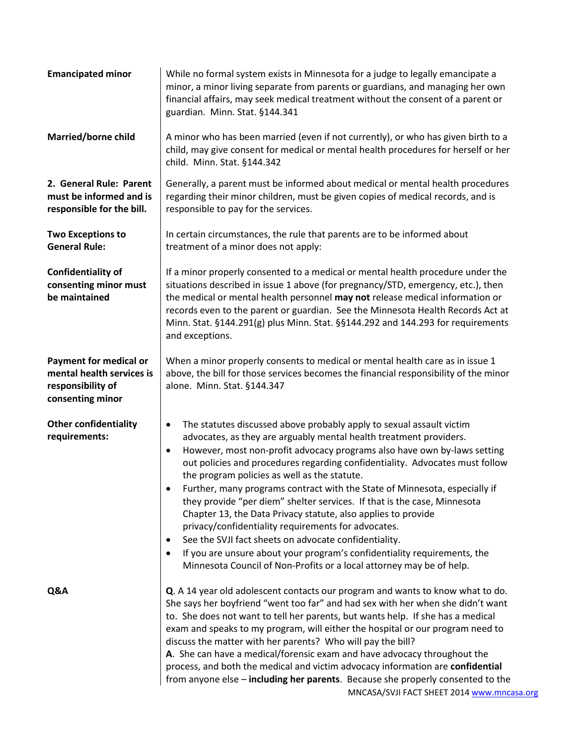| <b>Emancipated minor</b>                                                                            | While no formal system exists in Minnesota for a judge to legally emancipate a<br>minor, a minor living separate from parents or guardians, and managing her own<br>financial affairs, may seek medical treatment without the consent of a parent or<br>guardian. Minn. Stat. §144.341                                                                                                                                                                                                                                                                                                                                                                                                                                                                                                                                                                                                                    |
|-----------------------------------------------------------------------------------------------------|-----------------------------------------------------------------------------------------------------------------------------------------------------------------------------------------------------------------------------------------------------------------------------------------------------------------------------------------------------------------------------------------------------------------------------------------------------------------------------------------------------------------------------------------------------------------------------------------------------------------------------------------------------------------------------------------------------------------------------------------------------------------------------------------------------------------------------------------------------------------------------------------------------------|
| Married/borne child                                                                                 | A minor who has been married (even if not currently), or who has given birth to a<br>child, may give consent for medical or mental health procedures for herself or her<br>child. Minn. Stat. §144.342                                                                                                                                                                                                                                                                                                                                                                                                                                                                                                                                                                                                                                                                                                    |
| 2. General Rule: Parent<br>must be informed and is<br>responsible for the bill.                     | Generally, a parent must be informed about medical or mental health procedures<br>regarding their minor children, must be given copies of medical records, and is<br>responsible to pay for the services.                                                                                                                                                                                                                                                                                                                                                                                                                                                                                                                                                                                                                                                                                                 |
| <b>Two Exceptions to</b><br><b>General Rule:</b>                                                    | In certain circumstances, the rule that parents are to be informed about<br>treatment of a minor does not apply:                                                                                                                                                                                                                                                                                                                                                                                                                                                                                                                                                                                                                                                                                                                                                                                          |
| <b>Confidentiality of</b><br>consenting minor must<br>be maintained                                 | If a minor properly consented to a medical or mental health procedure under the<br>situations described in issue 1 above (for pregnancy/STD, emergency, etc.), then<br>the medical or mental health personnel may not release medical information or<br>records even to the parent or guardian. See the Minnesota Health Records Act at<br>Minn. Stat. §144.291(g) plus Minn. Stat. §§144.292 and 144.293 for requirements<br>and exceptions.                                                                                                                                                                                                                                                                                                                                                                                                                                                             |
| <b>Payment for medical or</b><br>mental health services is<br>responsibility of<br>consenting minor | When a minor properly consents to medical or mental health care as in issue 1<br>above, the bill for those services becomes the financial responsibility of the minor<br>alone. Minn. Stat. §144.347                                                                                                                                                                                                                                                                                                                                                                                                                                                                                                                                                                                                                                                                                                      |
| <b>Other confidentiality</b><br>requirements:                                                       | The statutes discussed above probably apply to sexual assault victim<br>$\bullet$<br>advocates, as they are arguably mental health treatment providers.<br>However, most non-profit advocacy programs also have own by-laws setting<br>$\bullet$<br>out policies and procedures regarding confidentiality. Advocates must follow<br>the program policies as well as the statute.<br>Further, many programs contract with the State of Minnesota, especially if<br>they provide "per diem" shelter services. If that is the case, Minnesota<br>Chapter 13, the Data Privacy statute, also applies to provide<br>privacy/confidentiality requirements for advocates.<br>See the SVJI fact sheets on advocate confidentiality.<br>$\bullet$<br>If you are unsure about your program's confidentiality requirements, the<br>$\bullet$<br>Minnesota Council of Non-Profits or a local attorney may be of help. |
| Q&A                                                                                                 | Q. A 14 year old adolescent contacts our program and wants to know what to do.<br>She says her boyfriend "went too far" and had sex with her when she didn't want<br>to. She does not want to tell her parents, but wants help. If she has a medical<br>exam and speaks to my program, will either the hospital or our program need to<br>discuss the matter with her parents? Who will pay the bill?<br>A. She can have a medical/forensic exam and have advocacy throughout the<br>process, and both the medical and victim advocacy information are confidential<br>from anyone else - including her parents. Because she properly consented to the<br>MNCASA/SVJI FACT SHEET 2014 www.mncasa.org                                                                                                                                                                                                      |